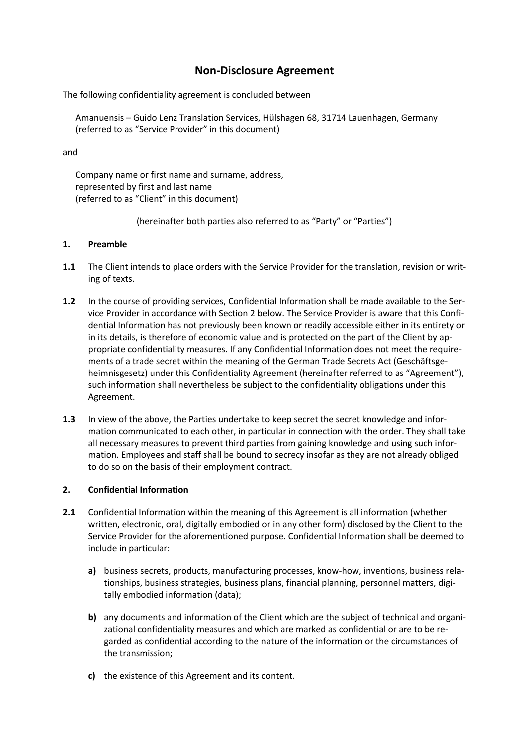# **Non-Disclosure Agreement**

The following confidentiality agreement is concluded between

Amanuensis – Guido Lenz Translation Services, Hülshagen 68, 31714 Lauenhagen, Germany (referred to as "Service Provider" in this document)

and

Company name or first name and surname, address, represented by first and last name (referred to as "Client" in this document)

(hereinafter both parties also referred to as "Party" or "Parties")

## **1. Preamble**

- **1.1** The Client intends to place orders with the Service Provider for the translation, revision or writing of texts.
- **1.2** In the course of providing services, Confidential Information shall be made available to the Service Provider in accordance with Section 2 below. The Service Provider is aware that this Confidential Information has not previously been known or readily accessible either in its entirety or in its details, is therefore of economic value and is protected on the part of the Client by appropriate confidentiality measures. If any Confidential Information does not meet the requirements of a trade secret within the meaning of the German Trade Secrets Act (Geschäftsgeheimnisgesetz) under this Confidentiality Agreement (hereinafter referred to as "Agreement"), such information shall nevertheless be subject to the confidentiality obligations under this Agreement.
- **1.3** In view of the above, the Parties undertake to keep secret the secret knowledge and information communicated to each other, in particular in connection with the order. They shall take all necessary measures to prevent third parties from gaining knowledge and using such information. Employees and staff shall be bound to secrecy insofar as they are not already obliged to do so on the basis of their employment contract.

## **2. Confidential Information**

- **2.1** Confidential Information within the meaning of this Agreement is all information (whether written, electronic, oral, digitally embodied or in any other form) disclosed by the Client to the Service Provider for the aforementioned purpose. Confidential Information shall be deemed to include in particular:
	- **a)** business secrets, products, manufacturing processes, know-how, inventions, business relationships, business strategies, business plans, financial planning, personnel matters, digitally embodied information (data);
	- **b)** any documents and information of the Client which are the subject of technical and organizational confidentiality measures and which are marked as confidential or are to be regarded as confidential according to the nature of the information or the circumstances of the transmission;
	- **c)** the existence of this Agreement and its content.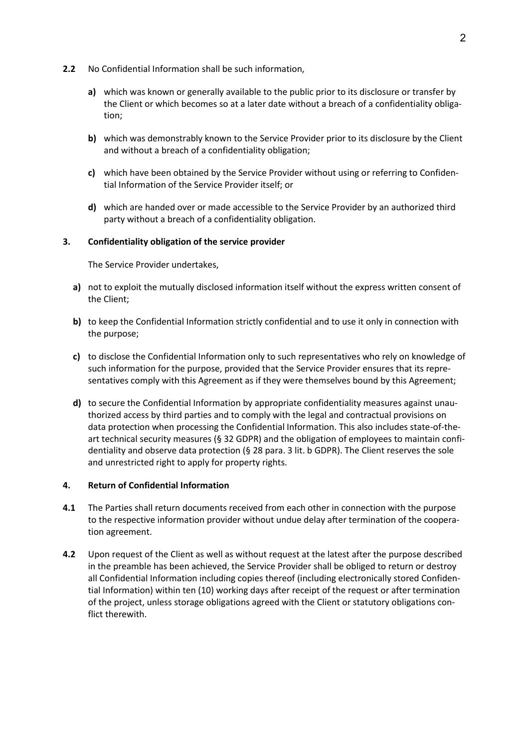- **2.2** No Confidential Information shall be such information,
	- **a)** which was known or generally available to the public prior to its disclosure or transfer by the Client or which becomes so at a later date without a breach of a confidentiality obligation;
	- **b)** which was demonstrably known to the Service Provider prior to its disclosure by the Client and without a breach of a confidentiality obligation;
	- **c)** which have been obtained by the Service Provider without using or referring to Confidential Information of the Service Provider itself; or
	- **d)** which are handed over or made accessible to the Service Provider by an authorized third party without a breach of a confidentiality obligation.

## **3. Confidentiality obligation of the service provider**

The Service Provider undertakes,

- **a)** not to exploit the mutually disclosed information itself without the express written consent of the Client;
- **b)** to keep the Confidential Information strictly confidential and to use it only in connection with the purpose;
- **c)** to disclose the Confidential Information only to such representatives who rely on knowledge of such information for the purpose, provided that the Service Provider ensures that its representatives comply with this Agreement as if they were themselves bound by this Agreement;
- **d)** to secure the Confidential Information by appropriate confidentiality measures against unauthorized access by third parties and to comply with the legal and contractual provisions on data protection when processing the Confidential Information. This also includes state-of-theart technical security measures (§ 32 GDPR) and the obligation of employees to maintain confidentiality and observe data protection (§ 28 para. 3 lit. b GDPR). The Client reserves the sole and unrestricted right to apply for property rights.

## **4. Return of Confidential Information**

- **4.1** The Parties shall return documents received from each other in connection with the purpose to the respective information provider without undue delay after termination of the cooperation agreement.
- **4.2** Upon request of the Client as well as without request at the latest after the purpose described in the preamble has been achieved, the Service Provider shall be obliged to return or destroy all Confidential Information including copies thereof (including electronically stored Confidential Information) within ten (10) working days after receipt of the request or after termination of the project, unless storage obligations agreed with the Client or statutory obligations conflict therewith.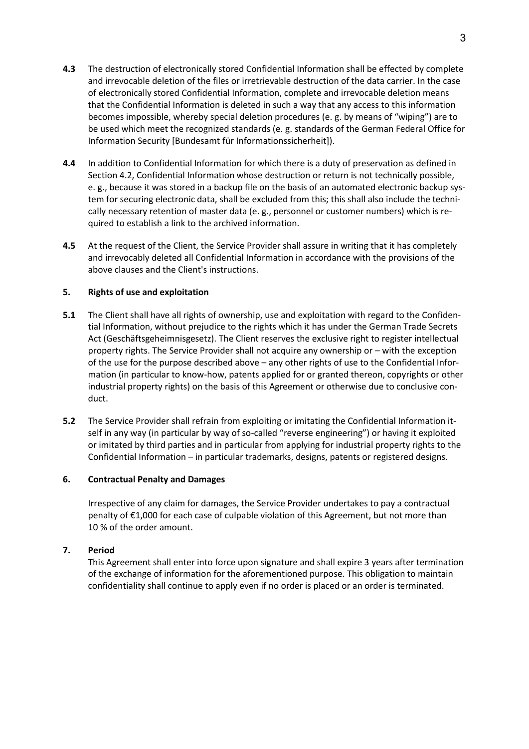- **4.3** The destruction of electronically stored Confidential Information shall be effected by complete and irrevocable deletion of the files or irretrievable destruction of the data carrier. In the case of electronically stored Confidential Information, complete and irrevocable deletion means that the Confidential Information is deleted in such a way that any access to this information becomes impossible, whereby special deletion procedures (e. g. by means of "wiping") are to be used which meet the recognized standards (e. g. standards of the German Federal Office for Information Security [Bundesamt für Informationssicherheit]).
- **4.4** In addition to Confidential Information for which there is a duty of preservation as defined in Section 4.2, Confidential Information whose destruction or return is not technically possible, e. g., because it was stored in a backup file on the basis of an automated electronic backup system for securing electronic data, shall be excluded from this; this shall also include the technically necessary retention of master data (e. g., personnel or customer numbers) which is required to establish a link to the archived information.
- **4.5** At the request of the Client, the Service Provider shall assure in writing that it has completely and irrevocably deleted all Confidential Information in accordance with the provisions of the above clauses and the Client's instructions.

## **5. Rights of use and exploitation**

- **5.1** The Client shall have all rights of ownership, use and exploitation with regard to the Confidential Information, without prejudice to the rights which it has under the German Trade Secrets Act (Geschäftsgeheimnisgesetz). The Client reserves the exclusive right to register intellectual property rights. The Service Provider shall not acquire any ownership or – with the exception of the use for the purpose described above – any other rights of use to the Confidential Information (in particular to know-how, patents applied for or granted thereon, copyrights or other industrial property rights) on the basis of this Agreement or otherwise due to conclusive conduct.
- **5.2** The Service Provider shall refrain from exploiting or imitating the Confidential Information itself in any way (in particular by way of so-called "reverse engineering") or having it exploited or imitated by third parties and in particular from applying for industrial property rights to the Confidential Information – in particular trademarks, designs, patents or registered designs.

## **6. Contractual Penalty and Damages**

Irrespective of any claim for damages, the Service Provider undertakes to pay a contractual penalty of €1,000 for each case of culpable violation of this Agreement, but not more than 10 % of the order amount.

## **7. Period**

This Agreement shall enter into force upon signature and shall expire 3 years after termination of the exchange of information for the aforementioned purpose. This obligation to maintain confidentiality shall continue to apply even if no order is placed or an order is terminated.